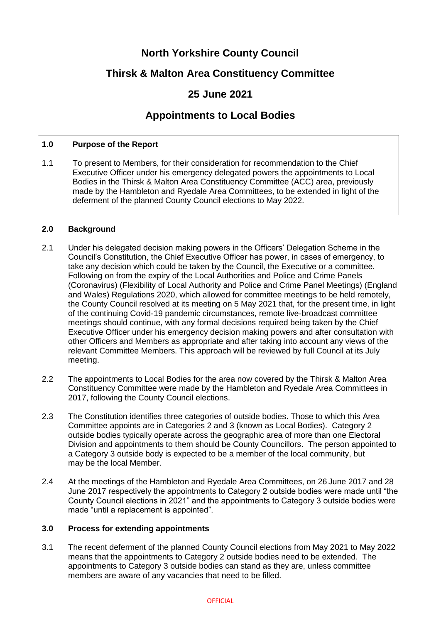# **North Yorkshire County Council**

# **Thirsk & Malton Area Constituency Committee**

# **25 June 2021**

# **Appointments to Local Bodies**

### **1.0 Purpose of the Report**

1.1 To present to Members, for their consideration for recommendation to the Chief Executive Officer under his emergency delegated powers the appointments to Local Bodies in the Thirsk & Malton Area Constituency Committee (ACC) area, previously made by the Hambleton and Ryedale Area Committees, to be extended in light of the deferment of the planned County Council elections to May 2022.

### **2.0 Background**

- 2.1 Under his delegated decision making powers in the Officers' Delegation Scheme in the Council's Constitution, the Chief Executive Officer has power, in cases of emergency, to take any decision which could be taken by the Council, the Executive or a committee. Following on from the expiry of the Local Authorities and Police and Crime Panels (Coronavirus) (Flexibility of Local Authority and Police and Crime Panel Meetings) (England and Wales) Regulations 2020, which allowed for committee meetings to be held remotely, the County Council resolved at its meeting on 5 May 2021 that, for the present time, in light of the continuing Covid-19 pandemic circumstances, remote live-broadcast committee meetings should continue, with any formal decisions required being taken by the Chief Executive Officer under his emergency decision making powers and after consultation with other Officers and Members as appropriate and after taking into account any views of the relevant Committee Members. This approach will be reviewed by full Council at its July meeting.
- 2.2 The appointments to Local Bodies for the area now covered by the Thirsk & Malton Area Constituency Committee were made by the Hambleton and Ryedale Area Committees in 2017, following the County Council elections.
- 2.3 The Constitution identifies three categories of outside bodies. Those to which this Area Committee appoints are in Categories 2 and 3 (known as Local Bodies). Category 2 outside bodies typically operate across the geographic area of more than one Electoral Division and appointments to them should be County Councillors. The person appointed to a Category 3 outside body is expected to be a member of the local community, but may be the local Member.
- 2.4 At the meetings of the Hambleton and Ryedale Area Committees, on 26 June 2017 and 28 June 2017 respectively the appointments to Category 2 outside bodies were made until "the County Council elections in 2021" and the appointments to Category 3 outside bodies were made "until a replacement is appointed".

### **3.0 Process for extending appointments**

3.1 The recent deferment of the planned County Council elections from May 2021 to May 2022 means that the appointments to Category 2 outside bodies need to be extended. The appointments to Category 3 outside bodies can stand as they are, unless committee members are aware of any vacancies that need to be filled.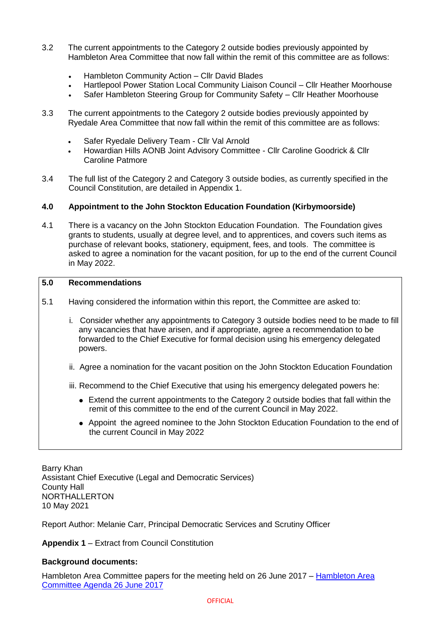- 3.2 The current appointments to the Category 2 outside bodies previously appointed by Hambleton Area Committee that now fall within the remit of this committee are as follows:
	- Hambleton Community Action Cllr David Blades
	- Hartlepool Power Station Local Community Liaison Council Cllr Heather Moorhouse
	- Safer Hambleton Steering Group for Community Safety Cllr Heather Moorhouse
- 3.3 The current appointments to the Category 2 outside bodies previously appointed by Ryedale Area Committee that now fall within the remit of this committee are as follows:
	- Safer Ryedale Delivery Team Cllr Val Arnold
	- Howardian Hills AONB Joint Advisory Committee Cllr Caroline Goodrick & Cllr Caroline Patmore
- 3.4 The full list of the Category 2 and Category 3 outside bodies, as currently specified in the Council Constitution, are detailed in Appendix 1.

### **4.0 Appointment to the John Stockton Education Foundation (Kirbymoorside)**

4.1 There is a vacancy on the John Stockton Education Foundation.The Foundation gives grants to students, usually at degree level, and to apprentices, and covers such items as purchase of relevant books, stationery, equipment, fees, and tools. The committee is asked to agree a nomination for the vacant position, for up to the end of the current Council in May 2022.

#### **5.0 Recommendations**

- 5.1 Having considered the information within this report, the Committee are asked to:
	- i. Consider whether any appointments to Category 3 outside bodies need to be made to fill any vacancies that have arisen, and if appropriate, agree a recommendation to be forwarded to the Chief Executive for formal decision using his emergency delegated powers.
	- ii. Agree a nomination for the vacant position on the John Stockton Education Foundation
	- iii. Recommend to the Chief Executive that using his emergency delegated powers he:
		- Extend the current appointments to the Category 2 outside bodies that fall within the remit of this committee to the end of the current Council in May 2022.
		- Appoint the agreed nominee to the John Stockton Education Foundation to the end of the current Council in May 2022

Barry Khan Assistant Chief Executive (Legal and Democratic Services) County Hall NORTHALLERTON 10 May 2021

Report Author: Melanie Carr, Principal Democratic Services and Scrutiny Officer

**Appendix 1** – Extract from Council Constitution

### **Background documents:**

[Hambleton Area](https://edemocracy.northyorks.gov.uk/CeListDocuments.aspx?CommitteeId=1202&MeetingId=2072&DF=26%2f06%2f2017&Ver=2) Committee papers for the meeting held on 26 June 2017 – Hambleton Area [Committee Agenda 26 June 2017](https://edemocracy.northyorks.gov.uk/CeListDocuments.aspx?CommitteeId=1202&MeetingId=2072&DF=26%2f06%2f2017&Ver=2)